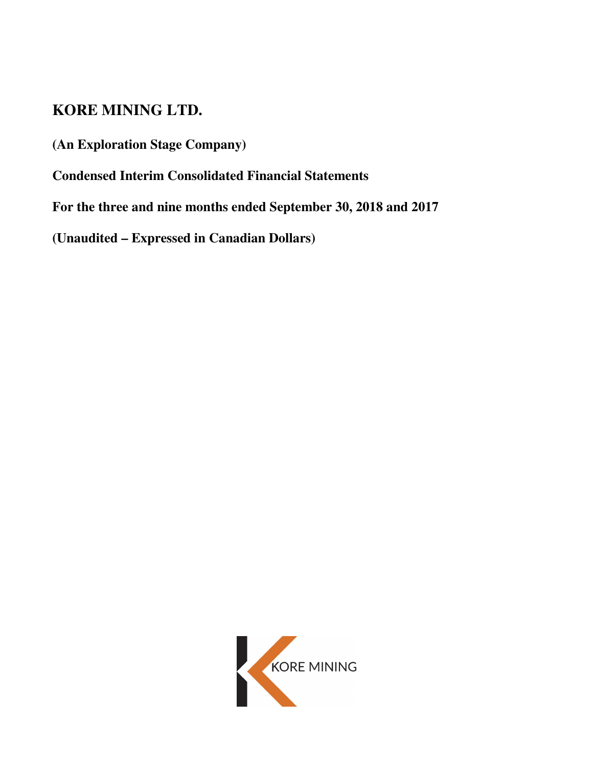# **KORE MINING LTD.**

**(An Exploration Stage Company)** 

**Condensed Interim Consolidated Financial Statements**

**For the three and nine months ended September 30, 2018 and 2017** 

**(Unaudited – Expressed in Canadian Dollars)** 

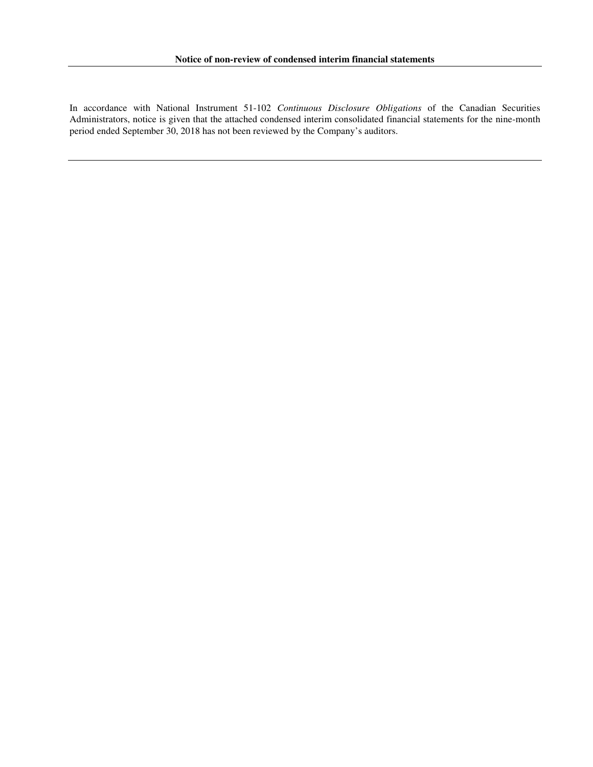In accordance with National Instrument 51-102 *Continuous Disclosure Obligations* of the Canadian Securities Administrators, notice is given that the attached condensed interim consolidated financial statements for the nine-month period ended September 30, 2018 has not been reviewed by the Company's auditors.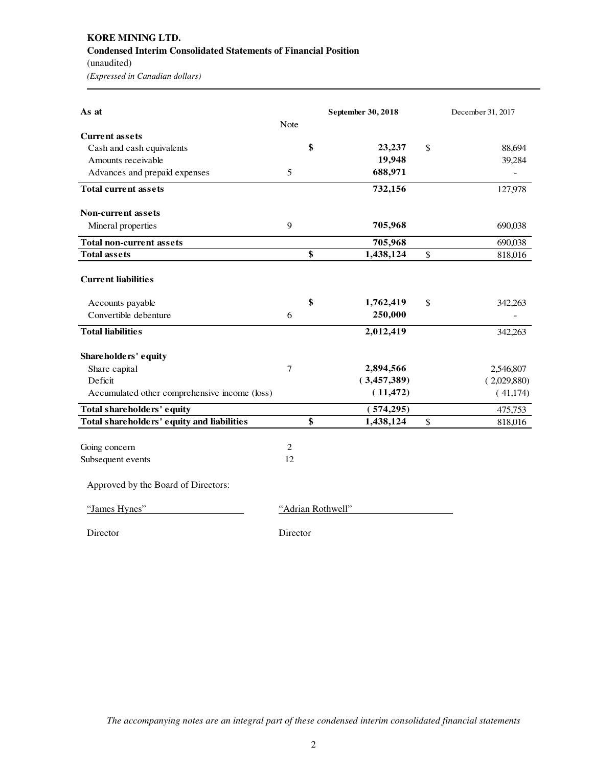# **KORE MINING LTD. Condensed Interim Consolidated Statements of Financial Position**  (unaudited)

*(Expressed in Canadian dollars)* 

| As at                                         |                |                   | September 30, 2018 | December 31, 2017 |
|-----------------------------------------------|----------------|-------------------|--------------------|-------------------|
|                                               | Note           |                   |                    |                   |
| <b>Current assets</b>                         |                |                   |                    |                   |
| Cash and cash equivalents                     |                | \$                | 23,237             | \$<br>88,694      |
| Amounts receivable                            |                |                   | 19,948             | 39,284            |
| Advances and prepaid expenses                 | 5              |                   | 688,971            |                   |
| <b>Total current assets</b>                   |                |                   | 732,156            | 127,978           |
| <b>Non-current assets</b>                     |                |                   |                    |                   |
| Mineral properties                            | 9              |                   | 705,968            | 690,038           |
| <b>Total non-current assets</b>               |                |                   | 705,968            | 690,038           |
| <b>Total assets</b>                           |                | \$                | 1,438,124          | \$<br>818,016     |
| <b>Current liabilities</b>                    |                |                   |                    |                   |
| Accounts payable                              |                | \$                | 1,762,419          | \$<br>342,263     |
| Convertible debenture                         | 6              |                   | 250,000            |                   |
| <b>Total liabilities</b>                      |                |                   | 2,012,419          | 342,263           |
| Shareholders' equity                          |                |                   |                    |                   |
| Share capital                                 | 7              |                   | 2,894,566          | 2,546,807         |
| Deficit                                       |                |                   | (3,457,389)        | (2,029,880)       |
| Accumulated other comprehensive income (loss) |                |                   | (11, 472)          | (41, 174)         |
| Total shareholders' equity                    |                |                   | (574, 295)         | 475,753           |
| Total shareholders' equity and liabilities    |                | \$                | 1,438,124          | \$<br>818,016     |
|                                               |                |                   |                    |                   |
| Going concern                                 | $\overline{2}$ |                   |                    |                   |
| Subsequent events                             | 12             |                   |                    |                   |
| Approved by the Board of Directors:           |                |                   |                    |                   |
| "James Hynes"                                 |                | "Adrian Rothwell" |                    |                   |
| Director                                      | Director       |                   |                    |                   |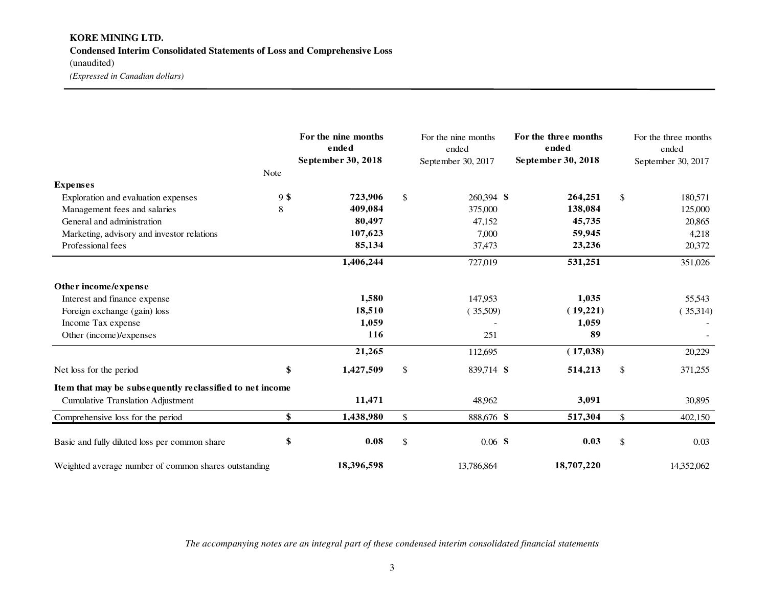# **KORE MINING LTD. Condensed Interim Consolidated Statements of Loss and Comprehensive Loss** (unaudited) *(Expressed in Canadian dollars)*

|                                                          | Note   | For the nine months<br>ended<br>September 30, 2018 |              | For the nine months<br>ended<br>September 30, 2017 | For the three months<br>ended<br>September 30, 2018 |               | For the three months<br>ended<br>September 30, 2017 |
|----------------------------------------------------------|--------|----------------------------------------------------|--------------|----------------------------------------------------|-----------------------------------------------------|---------------|-----------------------------------------------------|
| <b>Expenses</b>                                          |        |                                                    |              |                                                    |                                                     |               |                                                     |
| Exploration and evaluation expenses                      | $9$ \$ | 723,906                                            | \$           | 260,394 \$                                         | 264,251                                             | \$            | 180,571                                             |
| Management fees and salaries                             | 8      | 409,084                                            |              | 375,000                                            | 138,084                                             |               | 125,000                                             |
| General and administration                               |        | 80,497                                             |              | 47,152                                             | 45,735                                              |               | 20,865                                              |
| Marketing, advisory and investor relations               |        | 107,623                                            |              | 7,000                                              | 59,945                                              |               | 4,218                                               |
| Professional fees                                        |        | 85,134                                             |              | 37,473                                             | 23,236                                              |               | 20,372                                              |
|                                                          |        | 1,406,244                                          |              | 727,019                                            | 531,251                                             |               | 351,026                                             |
| Other income/expense                                     |        |                                                    |              |                                                    |                                                     |               |                                                     |
| Interest and finance expense                             |        | 1,580                                              |              | 147,953                                            | 1,035                                               |               | 55,543                                              |
| Foreign exchange (gain) loss                             |        | 18,510                                             |              | (35,509)                                           | (19,221)                                            |               | (35,314)                                            |
| Income Tax expense                                       |        | 1,059                                              |              |                                                    | 1,059                                               |               |                                                     |
| Other (income)/expenses                                  |        | 116                                                |              | 251                                                | 89                                                  |               |                                                     |
|                                                          |        | 21,265                                             |              | 112,695                                            | (17, 038)                                           |               | 20,229                                              |
| Net loss for the period                                  | \$     | 1,427,509                                          | $\mathbb{S}$ | 839,714 \$                                         | 514,213                                             | $\mathcal{S}$ | 371,255                                             |
| Item that may be subsequently reclassified to net income |        |                                                    |              |                                                    |                                                     |               |                                                     |
| <b>Cumulative Translation Adjustment</b>                 |        | 11,471                                             |              | 48,962                                             | 3,091                                               |               | 30,895                                              |
| Comprehensive loss for the period                        | \$     | 1,438,980                                          | $\mathbb{S}$ | 888,676 \$                                         | 517,304                                             | $\mathbb{S}$  | 402,150                                             |
| Basic and fully diluted loss per common share            | \$     | 0.08                                               | $\mathbb{S}$ | $0.06$ \$                                          | 0.03                                                | $\mathbb{S}$  | 0.03                                                |
| Weighted average number of common shares outstanding     |        | 18,396,598                                         |              | 13,786,864                                         | 18,707,220                                          |               | 14,352,062                                          |

*The accompanying notes are an integral part of these condensed interim consolidated financial statements*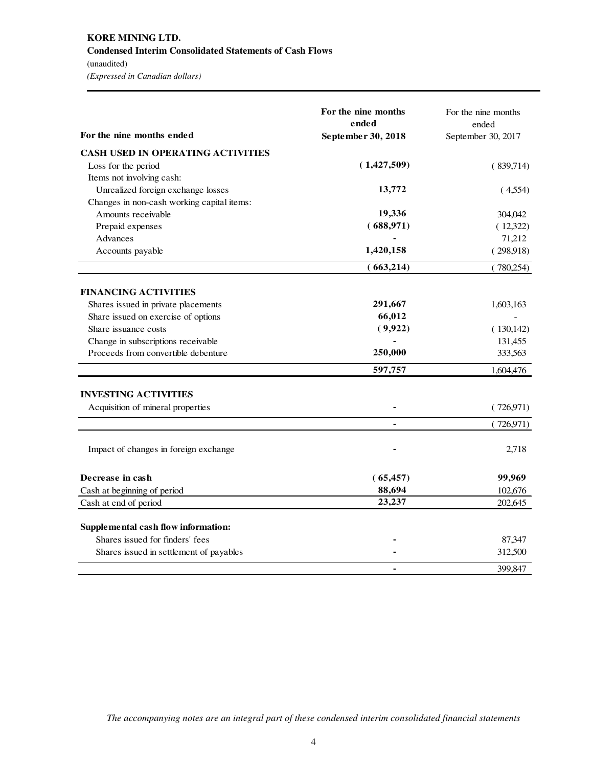# **KORE MINING LTD. Condensed Interim Consolidated Statements of Cash Flows**

(unaudited) *(Expressed in Canadian dollars)* 

|                                                                            | For the nine months<br>ended | For the nine months<br>ended |
|----------------------------------------------------------------------------|------------------------------|------------------------------|
| For the nine months ended                                                  | September 30, 2018           | September 30, 2017           |
| <b>CASH USED IN OPERATING ACTIVITIES</b>                                   |                              |                              |
| Loss for the period                                                        | (1,427,509)                  | (839,714)                    |
| Items not involving cash:                                                  |                              |                              |
| Unrealized foreign exchange losses                                         | 13,772                       | (4,554)                      |
| Changes in non-cash working capital items:                                 |                              |                              |
| Amounts receivable                                                         | 19,336                       | 304,042                      |
| Prepaid expenses                                                           | (688,971)                    | (12,322)                     |
| Advances                                                                   |                              | 71,212                       |
| Accounts payable                                                           | 1,420,158                    | (298,918)                    |
|                                                                            | (663,214)                    | (780,254)                    |
| <b>FINANCING ACTIVITIES</b>                                                |                              |                              |
|                                                                            | 291,667                      |                              |
| Shares issued in private placements<br>Share issued on exercise of options | 66,012                       | 1,603,163                    |
| Share issuance costs                                                       | (9,922)                      |                              |
|                                                                            |                              | (130, 142)                   |
| Change in subscriptions receivable<br>Proceeds from convertible debenture  | 250,000                      | 131,455                      |
|                                                                            |                              | 333,563                      |
|                                                                            | 597,757                      | 1,604,476                    |
| <b>INVESTING ACTIVITIES</b>                                                |                              |                              |
| Acquisition of mineral properties                                          |                              | (726,971)                    |
|                                                                            |                              | (726,971)                    |
| Impact of changes in foreign exchange                                      |                              | 2,718                        |
| Decrease in cash                                                           | (65, 457)                    | 99,969                       |
| Cash at beginning of period                                                | 88,694                       | 102,676                      |
| Cash at end of period                                                      | 23,237                       | 202,645                      |
| Supplemental cash flow information:                                        |                              |                              |
| Shares issued for finders' fees                                            |                              | 87,347                       |
| Shares issued in settlement of payables                                    |                              | 312,500                      |
|                                                                            |                              | 399,847                      |

*The accompanying notes are an integral part of these condensed interim consolidated financial statements*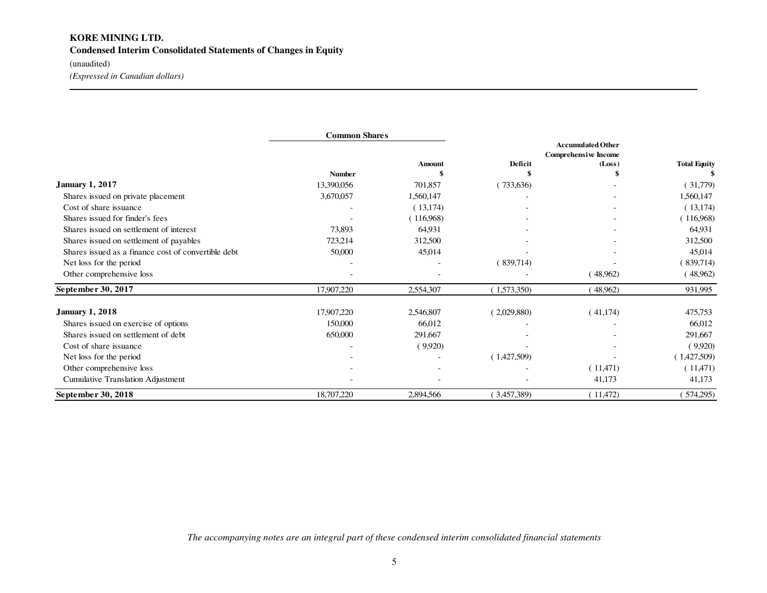# **KORE MINING LTD. Condensed Interim Consolidated Statements of Changes in Equity**

(unaudited)

*(Expressed in Canadian dollars)* 

|                                                     | <b>Common Shares</b> |                          |                                                         |          |                     |  |
|-----------------------------------------------------|----------------------|--------------------------|---------------------------------------------------------|----------|---------------------|--|
|                                                     |                      |                          | <b>Accumulated Other</b><br><b>Comprehensive Income</b> |          |                     |  |
|                                                     |                      | <b>Amount</b>            | Deficit                                                 | (Loss)   | <b>Total Equity</b> |  |
|                                                     | <b>Number</b>        |                          | \$                                                      |          |                     |  |
| <b>January 1, 2017</b>                              | 13,390,056           | 701,857                  | (733,636)                                               |          | (31,779)            |  |
| Shares issued on private placement                  | 3,670,057            | 1,560,147                |                                                         |          | 1,560,147           |  |
| Cost of share issuance                              |                      | (13,174)                 |                                                         |          | (13, 174)           |  |
| Shares issued for finder's fees                     |                      | (116,968)                |                                                         |          | (116,968)           |  |
| Shares issued on settlement of interest             | 73,893               | 64,931                   |                                                         |          | 64,931              |  |
| Shares issued on settlement of payables             | 723,214              | 312,500                  |                                                         |          | 312,500             |  |
| Shares issued as a finance cost of convertible debt | 50,000               | 45,014                   |                                                         |          | 45,014              |  |
| Net loss for the period                             |                      |                          | (839,714)                                               |          | (839,714)           |  |
| Other comprehensive loss                            |                      |                          |                                                         | (48,962) | (48,962)            |  |
| September 30, 2017                                  | 17,907,220           | 2,554,307                | (1,573,350)                                             | 48,962)  | 931,995             |  |
| <b>January 1, 2018</b>                              | 17,907,220           | 2,546,807                | (2,029,880)                                             | (41,174) | 475,753             |  |
| Shares issued on exercise of options                | 150,000              | 66,012                   |                                                         |          | 66,012              |  |
| Shares issued on settlement of debt                 | 650,000              | 291,667                  |                                                         |          | 291,667             |  |
| Cost of share issuance                              |                      | (9,920)                  |                                                         |          | (9,920)             |  |
| Net loss for the period                             |                      |                          | (1,427,509)                                             |          | (1,427,509)         |  |
| Other comprehensive loss                            |                      | $\overline{\phantom{a}}$ |                                                         | (11,471) | (11,471)            |  |
| Cumulative Translation Adjustment                   |                      |                          |                                                         | 41,173   | 41,173              |  |
| September 30, 2018                                  | 18,707,220           | 2,894,566                | (3,457,389)                                             | (11,472) | 574,295)            |  |

*The accompanying notes are an integral part of these condensed interim consolidated financial statements*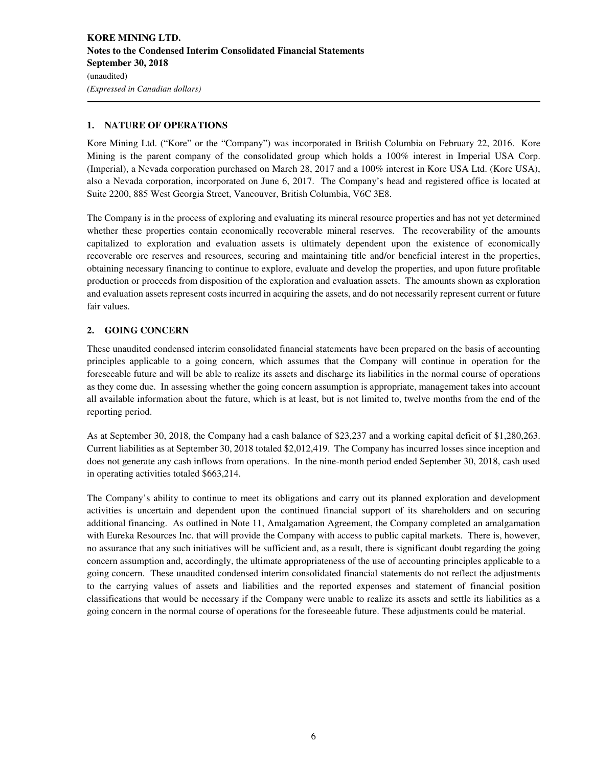### **1. NATURE OF OPERATIONS**

Kore Mining Ltd. ("Kore" or the "Company") was incorporated in British Columbia on February 22, 2016. Kore Mining is the parent company of the consolidated group which holds a 100% interest in Imperial USA Corp. (Imperial), a Nevada corporation purchased on March 28, 2017 and a 100% interest in Kore USA Ltd. (Kore USA), also a Nevada corporation, incorporated on June 6, 2017. The Company's head and registered office is located at Suite 2200, 885 West Georgia Street, Vancouver, British Columbia, V6C 3E8.

The Company is in the process of exploring and evaluating its mineral resource properties and has not yet determined whether these properties contain economically recoverable mineral reserves. The recoverability of the amounts capitalized to exploration and evaluation assets is ultimately dependent upon the existence of economically recoverable ore reserves and resources, securing and maintaining title and/or beneficial interest in the properties, obtaining necessary financing to continue to explore, evaluate and develop the properties, and upon future profitable production or proceeds from disposition of the exploration and evaluation assets. The amounts shown as exploration and evaluation assets represent costs incurred in acquiring the assets, and do not necessarily represent current or future fair values.

## **2. GOING CONCERN**

These unaudited condensed interim consolidated financial statements have been prepared on the basis of accounting principles applicable to a going concern, which assumes that the Company will continue in operation for the foreseeable future and will be able to realize its assets and discharge its liabilities in the normal course of operations as they come due. In assessing whether the going concern assumption is appropriate, management takes into account all available information about the future, which is at least, but is not limited to, twelve months from the end of the reporting period.

As at September 30, 2018, the Company had a cash balance of \$23,237 and a working capital deficit of \$1,280,263. Current liabilities as at September 30, 2018 totaled \$2,012,419. The Company has incurred losses since inception and does not generate any cash inflows from operations. In the nine-month period ended September 30, 2018, cash used in operating activities totaled \$663,214.

The Company's ability to continue to meet its obligations and carry out its planned exploration and development activities is uncertain and dependent upon the continued financial support of its shareholders and on securing additional financing. As outlined in Note 11, Amalgamation Agreement, the Company completed an amalgamation with Eureka Resources Inc. that will provide the Company with access to public capital markets. There is, however, no assurance that any such initiatives will be sufficient and, as a result, there is significant doubt regarding the going concern assumption and, accordingly, the ultimate appropriateness of the use of accounting principles applicable to a going concern. These unaudited condensed interim consolidated financial statements do not reflect the adjustments to the carrying values of assets and liabilities and the reported expenses and statement of financial position classifications that would be necessary if the Company were unable to realize its assets and settle its liabilities as a going concern in the normal course of operations for the foreseeable future. These adjustments could be material.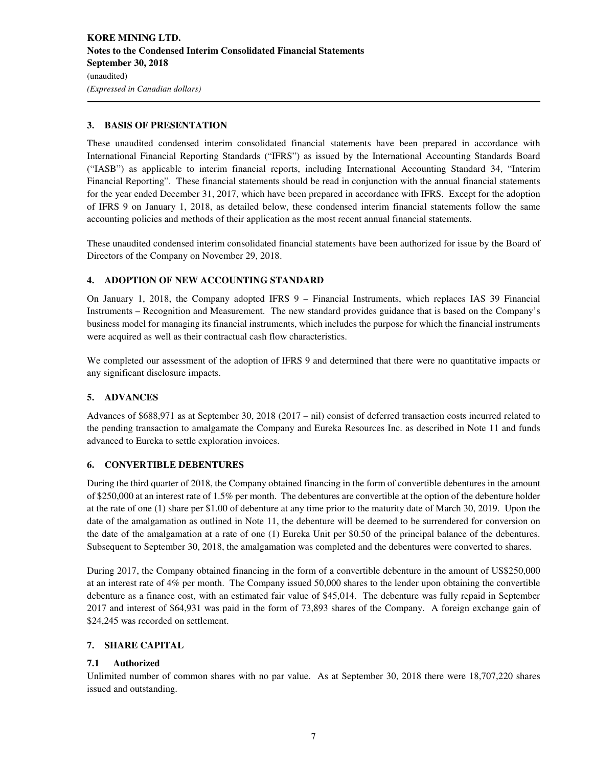#### **3. BASIS OF PRESENTATION**

These unaudited condensed interim consolidated financial statements have been prepared in accordance with International Financial Reporting Standards ("IFRS") as issued by the International Accounting Standards Board ("IASB") as applicable to interim financial reports, including International Accounting Standard 34, "Interim Financial Reporting". These financial statements should be read in conjunction with the annual financial statements for the year ended December 31, 2017, which have been prepared in accordance with IFRS. Except for the adoption of IFRS 9 on January 1, 2018, as detailed below, these condensed interim financial statements follow the same accounting policies and methods of their application as the most recent annual financial statements.

These unaudited condensed interim consolidated financial statements have been authorized for issue by the Board of Directors of the Company on November 29, 2018.

#### **4. ADOPTION OF NEW ACCOUNTING STANDARD**

On January 1, 2018, the Company adopted IFRS 9 – Financial Instruments, which replaces IAS 39 Financial Instruments – Recognition and Measurement. The new standard provides guidance that is based on the Company's business model for managing its financial instruments, which includes the purpose for which the financial instruments were acquired as well as their contractual cash flow characteristics.

We completed our assessment of the adoption of IFRS 9 and determined that there were no quantitative impacts or any significant disclosure impacts.

#### **5. ADVANCES**

Advances of \$688,971 as at September 30, 2018 (2017 – nil) consist of deferred transaction costs incurred related to the pending transaction to amalgamate the Company and Eureka Resources Inc. as described in Note 11 and funds advanced to Eureka to settle exploration invoices.

#### **6. CONVERTIBLE DEBENTURES**

During the third quarter of 2018, the Company obtained financing in the form of convertible debentures in the amount of \$250,000 at an interest rate of 1.5% per month. The debentures are convertible at the option of the debenture holder at the rate of one (1) share per \$1.00 of debenture at any time prior to the maturity date of March 30, 2019. Upon the date of the amalgamation as outlined in Note 11, the debenture will be deemed to be surrendered for conversion on the date of the amalgamation at a rate of one (1) Eureka Unit per \$0.50 of the principal balance of the debentures. Subsequent to September 30, 2018, the amalgamation was completed and the debentures were converted to shares.

During 2017, the Company obtained financing in the form of a convertible debenture in the amount of US\$250,000 at an interest rate of 4% per month. The Company issued 50,000 shares to the lender upon obtaining the convertible debenture as a finance cost, with an estimated fair value of \$45,014. The debenture was fully repaid in September 2017 and interest of \$64,931 was paid in the form of 73,893 shares of the Company. A foreign exchange gain of \$24,245 was recorded on settlement.

### **7. SHARE CAPITAL**

#### **7.1 Authorized**

Unlimited number of common shares with no par value. As at September 30, 2018 there were 18,707,220 shares issued and outstanding.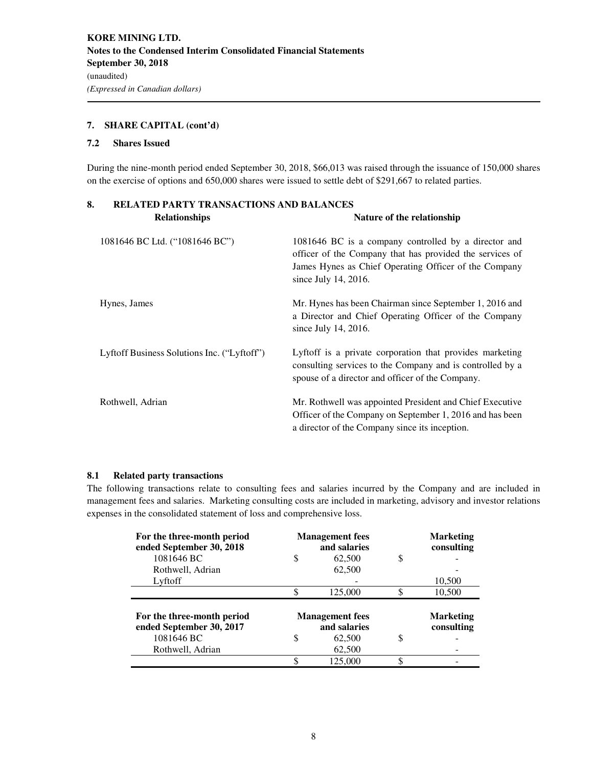## **7. SHARE CAPITAL (cont'd)**

#### **7.2 Shares Issued**

During the nine-month period ended September 30, 2018, \$66,013 was raised through the issuance of 150,000 shares on the exercise of options and 650,000 shares were issued to settle debt of \$291,667 to related parties.

| RELATED PARTY TRANSACTIONS AND BALANCES<br>8. |                                             |                                                                                                                                                                                                      |  |  |  |
|-----------------------------------------------|---------------------------------------------|------------------------------------------------------------------------------------------------------------------------------------------------------------------------------------------------------|--|--|--|
|                                               | <b>Relationships</b>                        | Nature of the relationship                                                                                                                                                                           |  |  |  |
|                                               | 1081646 BC Ltd. ("1081646 BC")              | 1081646 BC is a company controlled by a director and<br>officer of the Company that has provided the services of<br>James Hynes as Chief Operating Officer of the Company<br>since July 14, $2016$ . |  |  |  |
|                                               | Hynes, James                                | Mr. Hynes has been Chairman since September 1, 2016 and<br>a Director and Chief Operating Officer of the Company<br>since July 14, $2016$ .                                                          |  |  |  |
|                                               | Lyftoff Business Solutions Inc. ("Lyftoff") | Lyftoff is a private corporation that provides marketing<br>consulting services to the Company and is controlled by a<br>spouse of a director and officer of the Company.                            |  |  |  |
|                                               | Rothwell, Adrian                            | Mr. Rothwell was appointed President and Chief Executive<br>Officer of the Company on September 1, 2016 and has been<br>a director of the Company since its inception.                               |  |  |  |

#### **8.1 Related party transactions**

The following transactions relate to consulting fees and salaries incurred by the Company and are included in management fees and salaries. Marketing consulting costs are included in marketing, advisory and investor relations expenses in the consolidated statement of loss and comprehensive loss.

| For the three-month period<br>ended September 30, 2018 | <b>Management</b> fees<br>and salaries |         |    | <b>Marketing</b><br>consulting |
|--------------------------------------------------------|----------------------------------------|---------|----|--------------------------------|
| 1081646 BC                                             | S                                      | 62,500  | S  |                                |
| Rothwell, Adrian                                       |                                        | 62,500  |    |                                |
| Lyftoff                                                |                                        |         |    | 10,500                         |
|                                                        |                                        | 125,000 | \$ | 10,500                         |
| For the three-month period<br>ended September 30, 2017 | <b>Management</b> fees<br>and salaries |         |    | <b>Marketing</b><br>consulting |
| 1081646 BC                                             | S                                      | 62,500  | \$ |                                |
| Rothwell, Adrian                                       |                                        | 62,500  |    |                                |
|                                                        |                                        | 125,000 | ¢  |                                |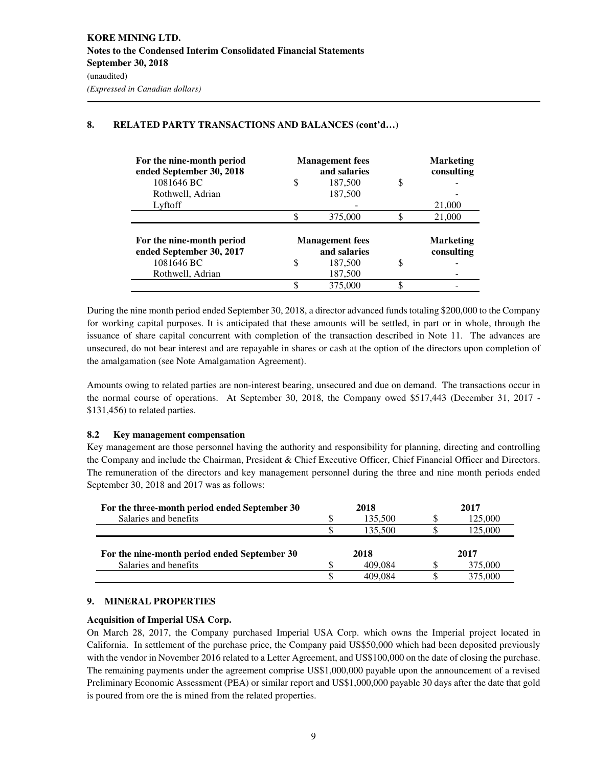# **8. RELATED PARTY TRANSACTIONS AND BALANCES (cont'd…)**

| For the nine-month period<br>ended September 30, 2018                                   | <b>Management</b> fees<br>and salaries |                                                              |    | <b>Marketing</b><br>consulting |
|-----------------------------------------------------------------------------------------|----------------------------------------|--------------------------------------------------------------|----|--------------------------------|
| 1081646 BC                                                                              | S                                      | 187,500                                                      | \$ |                                |
| Rothwell, Adrian                                                                        |                                        | 187,500                                                      |    |                                |
| Lyftoff                                                                                 |                                        |                                                              |    | 21,000                         |
|                                                                                         |                                        | 375,000                                                      |    | 21,000                         |
| For the nine-month period<br>ended September 30, 2017<br>1081646 BC<br>Rothwell, Adrian | S                                      | <b>Management</b> fees<br>and salaries<br>187,500<br>187,500 | S  | <b>Marketing</b><br>consulting |
|                                                                                         |                                        | 375,000                                                      |    |                                |

During the nine month period ended September 30, 2018, a director advanced funds totaling \$200,000 to the Company for working capital purposes. It is anticipated that these amounts will be settled, in part or in whole, through the issuance of share capital concurrent with completion of the transaction described in Note 11. The advances are unsecured, do not bear interest and are repayable in shares or cash at the option of the directors upon completion of the amalgamation (see Note Amalgamation Agreement).

Amounts owing to related parties are non-interest bearing, unsecured and due on demand. The transactions occur in the normal course of operations. At September 30, 2018, the Company owed \$517,443 (December 31, 2017 - \$131,456) to related parties.

#### **8.2 Key management compensation**

Key management are those personnel having the authority and responsibility for planning, directing and controlling the Company and include the Chairman, President & Chief Executive Officer, Chief Financial Officer and Directors. The remuneration of the directors and key management personnel during the three and nine month periods ended September 30, 2018 and 2017 was as follows:

| For the three-month period ended September 30 | 2018    | 2017    |
|-----------------------------------------------|---------|---------|
| Salaries and benefits                         | 135,500 | 125,000 |
|                                               | 135.500 | 125,000 |
| For the nine-month period ended September 30  | 2018    | 2017    |
| Salaries and benefits                         | 409.084 | 375,000 |
|                                               | 409.084 | 375,000 |

#### **9. MINERAL PROPERTIES**

#### **Acquisition of Imperial USA Corp.**

On March 28, 2017, the Company purchased Imperial USA Corp. which owns the Imperial project located in California. In settlement of the purchase price, the Company paid US\$50,000 which had been deposited previously with the vendor in November 2016 related to a Letter Agreement, and US\$100,000 on the date of closing the purchase. The remaining payments under the agreement comprise US\$1,000,000 payable upon the announcement of a revised Preliminary Economic Assessment (PEA) or similar report and US\$1,000,000 payable 30 days after the date that gold is poured from ore the is mined from the related properties.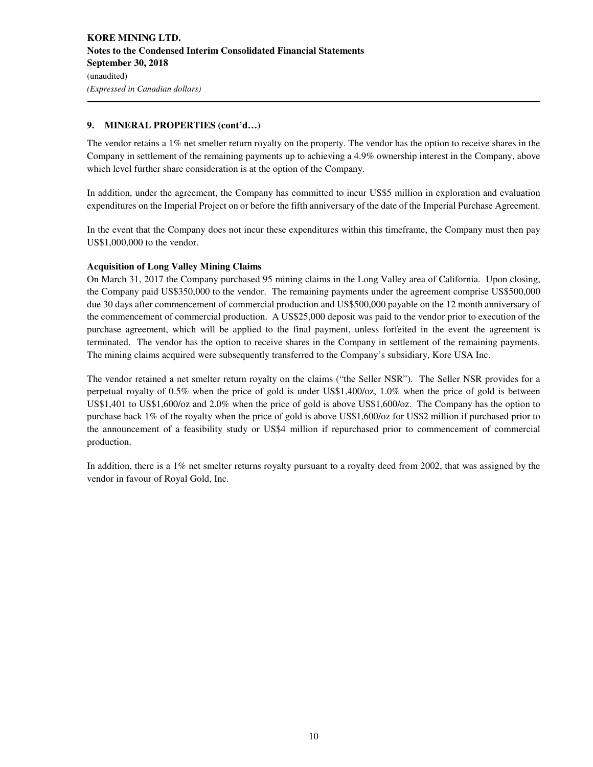### **9. MINERAL PROPERTIES (cont'd…)**

The vendor retains a  $1\%$  net smelter return royalty on the property. The vendor has the option to receive shares in the Company in settlement of the remaining payments up to achieving a 4.9% ownership interest in the Company, above which level further share consideration is at the option of the Company.

In addition, under the agreement, the Company has committed to incur US\$5 million in exploration and evaluation expenditures on the Imperial Project on or before the fifth anniversary of the date of the Imperial Purchase Agreement.

In the event that the Company does not incur these expenditures within this timeframe, the Company must then pay US\$1,000,000 to the vendor.

## **Acquisition of Long Valley Mining Claims**

On March 31, 2017 the Company purchased 95 mining claims in the Long Valley area of California. Upon closing, the Company paid US\$350,000 to the vendor. The remaining payments under the agreement comprise US\$500,000 due 30 days after commencement of commercial production and US\$500,000 payable on the 12 month anniversary of the commencement of commercial production. A US\$25,000 deposit was paid to the vendor prior to execution of the purchase agreement, which will be applied to the final payment, unless forfeited in the event the agreement is terminated. The vendor has the option to receive shares in the Company in settlement of the remaining payments. The mining claims acquired were subsequently transferred to the Company's subsidiary, Kore USA Inc.

The vendor retained a net smelter return royalty on the claims ("the Seller NSR"). The Seller NSR provides for a perpetual royalty of 0.5% when the price of gold is under US\$1,400/oz, 1.0% when the price of gold is between US\$1,401 to US\$1,600/oz and 2.0% when the price of gold is above US\$1,600/oz. The Company has the option to purchase back 1% of the royalty when the price of gold is above US\$1,600/oz for US\$2 million if purchased prior to the announcement of a feasibility study or US\$4 million if repurchased prior to commencement of commercial production.

In addition, there is a 1% net smelter returns royalty pursuant to a royalty deed from 2002, that was assigned by the vendor in favour of Royal Gold, Inc.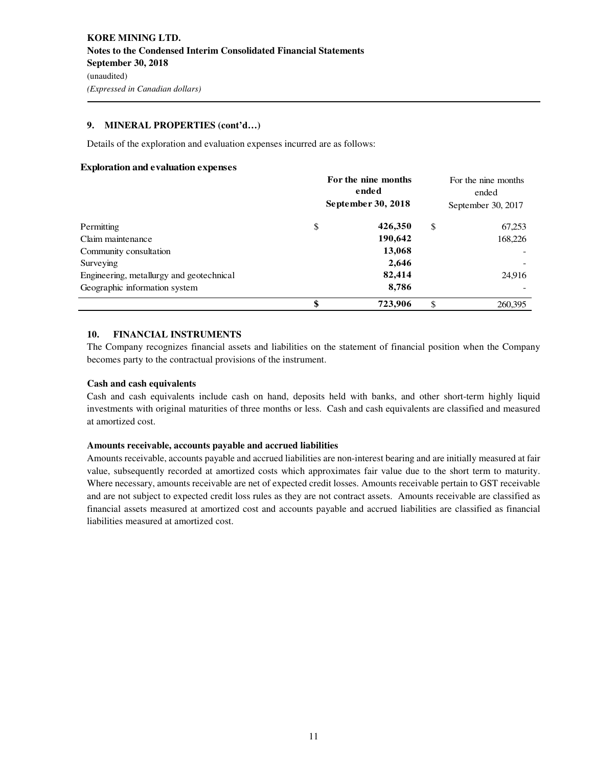#### **9. MINERAL PROPERTIES (cont'd…)**

Details of the exploration and evaluation expenses incurred are as follows:

#### **Exploration and evaluation expenses**

|                                          | For the nine months<br>ended<br>September 30, 2018 | For the nine months<br>ended<br>September 30, 2017 |                          |
|------------------------------------------|----------------------------------------------------|----------------------------------------------------|--------------------------|
| Permitting                               | \$<br>426,350                                      | <sup>\$</sup>                                      | 67,253                   |
| Claim maintenance                        | 190,642                                            |                                                    | 168,226                  |
| Community consultation                   | 13,068                                             |                                                    |                          |
| Surveying                                | 2,646                                              |                                                    | $\overline{\phantom{a}}$ |
| Engineering, metallurgy and geotechnical | 82,414                                             |                                                    | 24,916                   |
| Geographic information system            | 8,786                                              |                                                    |                          |
|                                          | \$<br>723,906                                      | \$                                                 | 260,395                  |

#### **10. FINANCIAL INSTRUMENTS**

The Company recognizes financial assets and liabilities on the statement of financial position when the Company becomes party to the contractual provisions of the instrument.

#### **Cash and cash equivalents**

Cash and cash equivalents include cash on hand, deposits held with banks, and other short-term highly liquid investments with original maturities of three months or less. Cash and cash equivalents are classified and measured at amortized cost.

#### **Amounts receivable, accounts payable and accrued liabilities**

Amounts receivable, accounts payable and accrued liabilities are non-interest bearing and are initially measured at fair value, subsequently recorded at amortized costs which approximates fair value due to the short term to maturity. Where necessary, amounts receivable are net of expected credit losses. Amounts receivable pertain to GST receivable and are not subject to expected credit loss rules as they are not contract assets. Amounts receivable are classified as financial assets measured at amortized cost and accounts payable and accrued liabilities are classified as financial liabilities measured at amortized cost.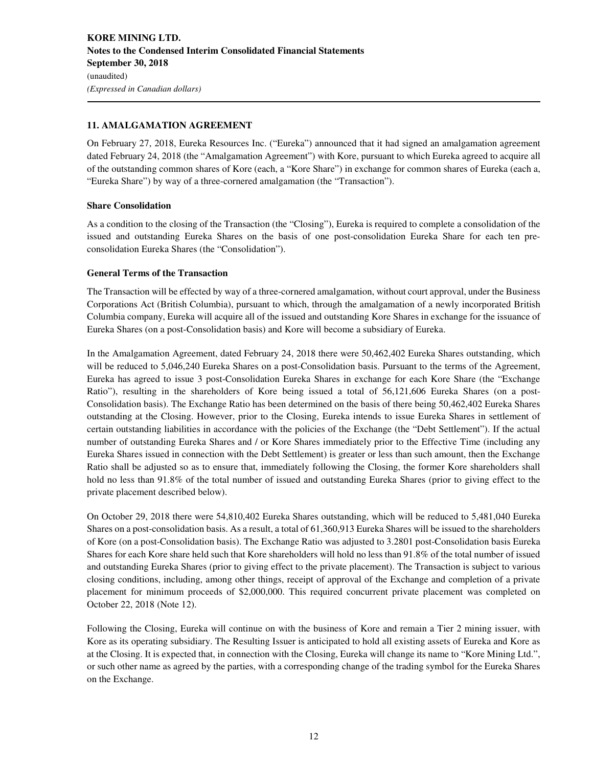## **11. AMALGAMATION AGREEMENT**

On February 27, 2018, Eureka Resources Inc. ("Eureka") announced that it had signed an amalgamation agreement dated February 24, 2018 (the "Amalgamation Agreement") with Kore, pursuant to which Eureka agreed to acquire all of the outstanding common shares of Kore (each, a "Kore Share") in exchange for common shares of Eureka (each a, "Eureka Share") by way of a three-cornered amalgamation (the "Transaction").

#### **Share Consolidation**

As a condition to the closing of the Transaction (the "Closing"), Eureka is required to complete a consolidation of the issued and outstanding Eureka Shares on the basis of one post-consolidation Eureka Share for each ten preconsolidation Eureka Shares (the "Consolidation").

#### **General Terms of the Transaction**

The Transaction will be effected by way of a three-cornered amalgamation, without court approval, under the Business Corporations Act (British Columbia), pursuant to which, through the amalgamation of a newly incorporated British Columbia company, Eureka will acquire all of the issued and outstanding Kore Shares in exchange for the issuance of Eureka Shares (on a post-Consolidation basis) and Kore will become a subsidiary of Eureka.

In the Amalgamation Agreement, dated February 24, 2018 there were 50,462,402 Eureka Shares outstanding, which will be reduced to 5,046,240 Eureka Shares on a post-Consolidation basis. Pursuant to the terms of the Agreement, Eureka has agreed to issue 3 post-Consolidation Eureka Shares in exchange for each Kore Share (the "Exchange Ratio"), resulting in the shareholders of Kore being issued a total of 56,121,606 Eureka Shares (on a post-Consolidation basis). The Exchange Ratio has been determined on the basis of there being 50,462,402 Eureka Shares outstanding at the Closing. However, prior to the Closing, Eureka intends to issue Eureka Shares in settlement of certain outstanding liabilities in accordance with the policies of the Exchange (the "Debt Settlement"). If the actual number of outstanding Eureka Shares and / or Kore Shares immediately prior to the Effective Time (including any Eureka Shares issued in connection with the Debt Settlement) is greater or less than such amount, then the Exchange Ratio shall be adjusted so as to ensure that, immediately following the Closing, the former Kore shareholders shall hold no less than 91.8% of the total number of issued and outstanding Eureka Shares (prior to giving effect to the private placement described below).

On October 29, 2018 there were 54,810,402 Eureka Shares outstanding, which will be reduced to 5,481,040 Eureka Shares on a post-consolidation basis. As a result, a total of 61,360,913 Eureka Shares will be issued to the shareholders of Kore (on a post-Consolidation basis). The Exchange Ratio was adjusted to 3.2801 post-Consolidation basis Eureka Shares for each Kore share held such that Kore shareholders will hold no less than 91.8% of the total number of issued and outstanding Eureka Shares (prior to giving effect to the private placement). The Transaction is subject to various closing conditions, including, among other things, receipt of approval of the Exchange and completion of a private placement for minimum proceeds of \$2,000,000. This required concurrent private placement was completed on October 22, 2018 (Note 12).

Following the Closing, Eureka will continue on with the business of Kore and remain a Tier 2 mining issuer, with Kore as its operating subsidiary. The Resulting Issuer is anticipated to hold all existing assets of Eureka and Kore as at the Closing. It is expected that, in connection with the Closing, Eureka will change its name to "Kore Mining Ltd.", or such other name as agreed by the parties, with a corresponding change of the trading symbol for the Eureka Shares on the Exchange.